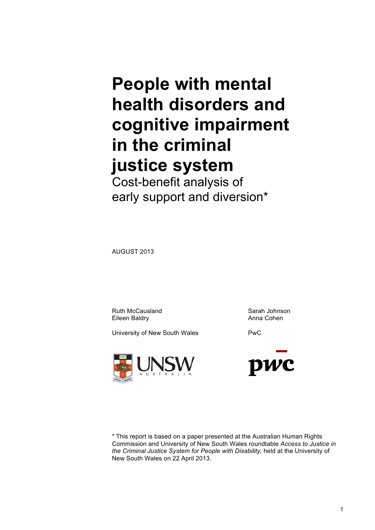# **People with mental health disorders and cognitive impairment in the criminal justice system**

Cost-benefit analysis of early support and diversion\*

AUGUST 2013

Ruth McCausland Sarah Johnson Eileen Baldry **Anna Cohen** 

University of New South Wales **PWC** 





\* This report is based on a paper presented at the Australian Human Rights Commission and University of New South Wales roundtable *Access to Justice in the Criminal Justice System for People with Disability,* held at the University of New South Wales on 22 April 2013.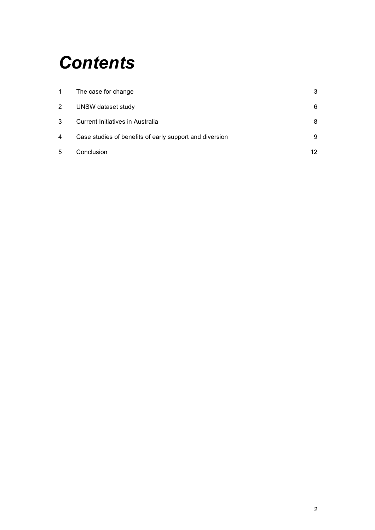## *Contents*

| -1 | The case for change                                     | 3  |
|----|---------------------------------------------------------|----|
| 2  | UNSW dataset study                                      | 6  |
| 3  | Current Initiatives in Australia                        | 8  |
| 4  | Case studies of benefits of early support and diversion | 9  |
| 5  | Conclusion                                              | 12 |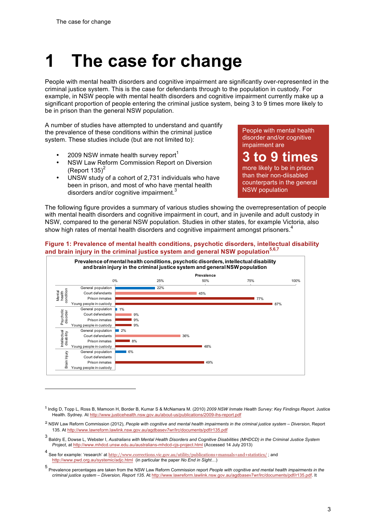$\overline{a}$ 

## **1 The case for change**

People with mental health disorders and cognitive impairment are significantly over-represented in the criminal justice system. This is the case for defendants through to the population in custody. For example, in NSW people with mental health disorders and cognitive impairment currently make up a significant proportion of people entering the criminal justice system, being 3 to 9 times more likely to be in prison than the general NSW population.

A number of studies have attempted to understand and quantify the prevalence of these conditions within the criminal justice system. These studies include (but are not limited to):

- 2009 NSW inmate health survey report $<sup>1</sup>$ </sup>
- NSW Law Reform Commission Report on Diversion (Report  $135$ )<sup>2</sup>
- UNSW study of a cohort of 2,731 individuals who have been in prison, and most of who have mental health disorders and/or cognitive impairment.<sup>3</sup>

People with mental health disorder and/or cognitive impairment are

**3 to 9 times**  more likely to be in prison than their non-diisabled counterparts in the general NSW population

The following figure provides a summary of various studies showing the overrepresentation of people with mental health disorders and cognitive impairment in court, and in juvenile and adult custody in NSW, compared to the general NSW population. Studies in other states, for example Victoria, also show high rates of mental health disorders and cognitive impairment amongst prisoners.<sup>4</sup>

## **Figure 1: Prevalence of mental health conditions, psychotic disorders, intellectual disability and brain injury in the criminal justice system and general NSW population5,6,7**



<sup>1</sup> Indig D, Topp L, Ross B, Mamoon H, Border B, Kumar S & McNamara M. (2010) *2009 NSW Inmate Health Survey: Key Findings Report.* Justice Health. Sydney. At http://www.justicehealth.nsw.gov.au/about-us/publications/2009-ihs-report.pdf

<sup>2</sup> NSW Law Reform Commission (2012), *People with cognitive and mental health impairments in the criminal justice system – Diversion*, Report 135. At http://www.lawreform.lawlink.nsw.gov.au/agdbasev7wr/lrc/documents/pdf/r135.pdf

<sup>3</sup> Baldry E, Dowse L, Webster I, *Australians with Mental Health Disorders and Cognitive Disabilities (MHDCD) in the Criminal Justice System Project*, at http://www.mhdcd.unsw.edu.au/australians-mhdcd-cjs-project.html (Accessed 14 July 2013)

See for example: 'research' at http://www.corrections.vic.gov.au/utility/publications+manuals+and+statistics/; and http://www.pwd.org.au/systemic/adjc.html (in particular the paper *No End in Sight*…)

<sup>5</sup> Prevalence percentages are taken from the NSW Law Reform Commission report *People with cognitive and mental health impairments in the criminal justice system – Diversion, Report 135*. At http://www.lawreform.lawlink.nsw.gov.au/agdbasev7wr/lrc/documents/pdf/r135.pdf. It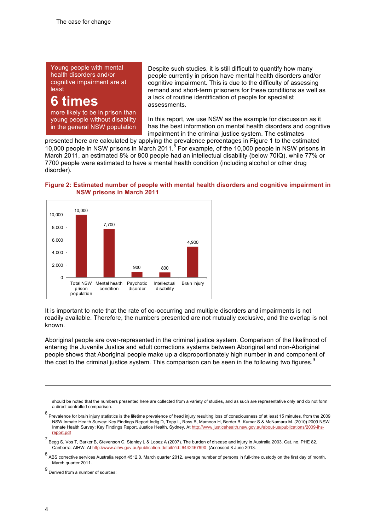Young people with mental health disorders and/or cognitive impairment are at least

## **6 times**

more likely to be in prison than young people without disability in the general NSW population Despite such studies, it is still difficult to quantify how many people currently in prison have mental health disorders and/or cognitive impairment. This is due to the difficulty of assessing remand and short-term prisoners for these conditions as well as a lack of routine identification of people for specialist assessments.

In this report, we use NSW as the example for discussion as it has the best information on mental health disorders and cognitive impairment in the criminal justice system. The estimates

presented here are calculated by applying the prevalence percentages in Figure 1 to the estimated 10,000 people in NSW prisons in March 2011.<sup>8</sup> For example, of the 10,000 people in NSW prisons in March 2011, an estimated 8% or 800 people had an intellectual disability (below 70IQ), while 77% or 7700 people were estimated to have a mental health condition (including alcohol or other drug disorder).

## **Figure 2: Estimated number of people with mental health disorders and cognitive impairment in NSW prisons in March 2011**



It is important to note that the rate of co-occurring and multiple disorders and impairments is not readily available. Therefore, the numbers presented are not mutually exclusive, and the overlap is not known.

Aboriginal people are over-represented in the criminal justice system. Comparison of the likelihood of entering the Juvenile Justice and adult corrections systems between Aboriginal and non-Aboriginal people shows that Aboriginal people make up a disproportionately high number in and component of the cost to the criminal justice system. This comparison can be seen in the following two figures.<sup>9</sup>

 $\overline{a}$ 

should be noted that the numbers presented here are collected from a variety of studies, and as such are representative only and do not form a direct controlled comparison.

 $^6$  Prevalence for brain injury statistics is the lifetime prevalence of head injury resulting loss of consciousness of at least 15 minutes, from the 2009 NSW Inmate Health Survey: Key Findings Report Indig D, Topp L, Ross B, Mamoon H, Border B, Kumar S & McNamara M. (2010) 2009 NSW Inmate Health Survey: Key Findings Report. Justice Health. Sydney. At http://www.justicehealth.nsw.gov.au/about-us/publications/2009-ihsreport.pdf

<sup>7</sup> Begg S, Vos T, Barker B, Stevenson C, Stanley L & Lopez A (2007). The burden of disease and injury in Australia 2003. Cat. no. PHE 82. Canberra: AIHW. At http://www.aihw.gov.au/publication-detail/?id=6442467990 (Accessed 8 June 2013.

ABS corrective services Australia report 4512.0, March quarter 2012, average number of persons in full-time custody on the first day of month, March quarter 2011.

<sup>9</sup> Derived from a number of sources: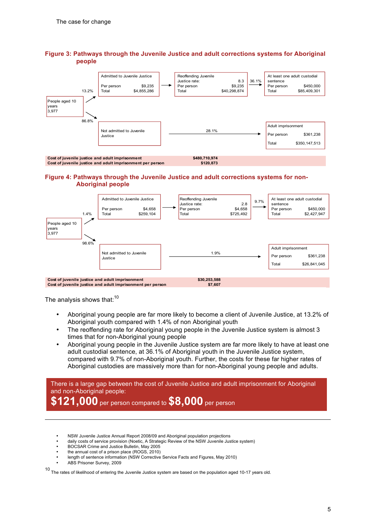

## **Figure 3: Pathways through the Juvenile Justice and adult corrections systems for Aboriginal people**

### **Figure 4: Pathways through the Juvenile Justice and adult corrections systems for non-Aboriginal people**



The analysis shows that: $10$ 

- Aboriginal young people are far more likely to become a client of Juvenile Justice, at 13.2% of Aboriginal youth compared with 1.4% of non Aboriginal youth
- The reoffending rate for Aboriginal young people in the Juvenile Justice system is almost 3 times that for non-Aboriginal young people
- Aboriginal young people in the Juvenile Justice system are far more likely to have at least one adult custodial sentence, at 36.1% of Aboriginal youth in the Juvenile Justice system, compared with 9.7% of non-Aboriginal youth. Further, the costs for these far higher rates of Aboriginal custodies are massively more than for non-Aboriginal young people and adults.

There is a large gap between the cost of Juvenile Justice and adult imprisonment for Aboriginal and non-Aboriginal people: **\$121,000** per person compared to **\$8,000** per person

- NSW Juvenile Justice Annual Report 2008/09 and Aboriginal population projections
- daily costs of service provision (Noetic, A Strategic Review of the NSW Juvenile Justice system)
- BOCSAR Crime and Justice Bulletin, May 2005
- the annual cost of a prison place (ROGS, 2010)
- length of sentence information (NSW Corrective Service Facts and Figures, May 2010)
- ABS Prisoner Survey, 2009

 $\overline{a}$ 

 $10$  The rates of likelihood of entering the Juvenile Justice system are based on the population aged 10-17 years old.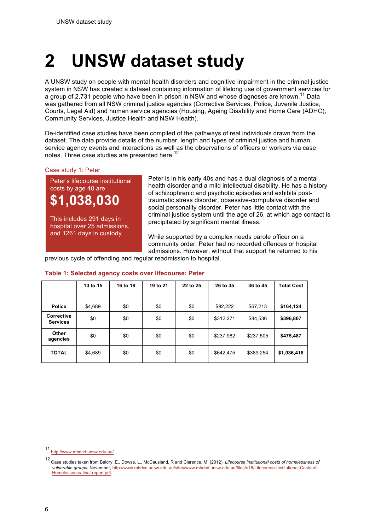# **2 UNSW dataset study**

A UNSW study on people with mental health disorders and cognitive impairment in the criminal justice system in NSW has created a dataset containing information of lifelong use of government services for a group of 2,731 people who have been in prison in NSW and whose diagnoses are known.<sup>11</sup> Data was gathered from all NSW criminal justice agencies (Corrective Services, Police, Juvenile Justice, Courts, Legal Aid) and human service agencies (Housing, Ageing Disability and Home Care (ADHC), Community Services, Justice Health and NSW Health).

De-identified case studies have been compiled of the pathways of real individuals drawn from the dataset. The data provide details of the number, length and types of criminal justice and human service agency events and interactions as well as the observations of officers or workers via case notes. Three case studies are presented here.<sup>12</sup>

## Case study 1: Peter

Peter's lifecourse institutional costs by age 40 are **\$1,038,030**

This includes 291 days in hospital over 25 admissions, and 1261 days in custody

Peter is in his early 40s and has a dual diagnosis of a mental health disorder and a mild intellectual disability. He has a history of schizophrenic and psychotic episodes and exhibits posttraumatic stress disorder, obsessive-compulsive disorder and social personality disorder. Peter has little contact with the criminal justice system until the age of 26, at which age contact is precipitated by significant mental illness.

While supported by a complex needs parole officer on a community order, Peter had no recorded offences or hospital admissions. However, without that support he returned to his

previous cycle of offending and regular readmission to hospital.

|                               | 10 to 15 | 16 to 18 | 19 to 21 | 22 to 25 | 26 to 35  | 36 to 45  | <b>Total Cost</b> |
|-------------------------------|----------|----------|----------|----------|-----------|-----------|-------------------|
| <b>Police</b>                 | \$4,689  | \$0      | \$0      | \$0      | \$92,222  | \$67,213  | \$164,124         |
| Corrective<br><b>Services</b> | \$0      | \$0      | \$0      | \$0      | \$312,271 | \$84,536  | \$396,807         |
| Other<br>agencies             | \$0      | \$0      | \$0      | \$0      | \$237,982 | \$237,505 | \$475,487         |
| <b>TOTAL</b>                  | \$4,689  | \$0      | \$0      | \$0      | \$642,475 | \$389,254 | \$1,036,418       |

### **Table 1: Selected agency costs over lifecourse: Peter**

 $\overline{a}$ 

<sup>11</sup> http://www.mhdcd.unsw.edu.au/

<sup>12</sup> Case studies taken from Baldry, E., Dowse, L., McCausland, R and Clarence, M. (2012), *Lifecourse institutional costs of homelessness of vulnerable groups*, November, http://www.mhdcd.unsw.edu.au/sites/www.mhdcd.unsw.edu.au/files/u18/Lifecourse-Institutional-Costs-of-Homelessness-final-report.pdf.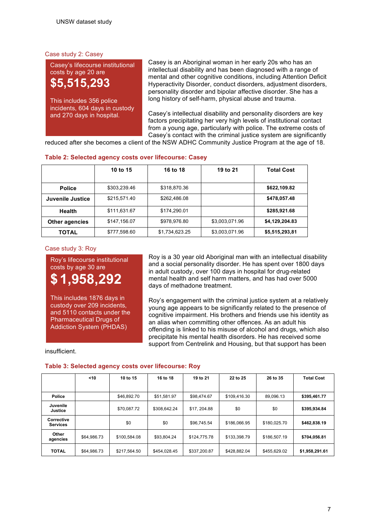## Case study 2: Casey

Casey's lifecourse institutional costs by age 20 are **\$5,515,293**

This includes 356 police incidents, 604 days in custody and 270 days in hospital.

Casey is an Aboriginal woman in her early 20s who has an intellectual disability and has been diagnosed with a range of mental and other cognitive conditions, including Attention Deficit Hyperactivity Disorder, conduct disorders, adjustment disorders, personality disorder and bipolar affective disorder. She has a long history of self-harm, physical abuse and trauma.

Casey's intellectual disability and personality disorders are key factors precipitating her very high levels of institutional contact from a young age, particularly with police. The extreme costs of Casey's contact with the criminal justice system are significantly

reduced after she becomes a client of the NSW ADHC Community Justice Program at the age of 18.

|                       | 10 to 15     | 16 to 18       | 19 to 21       | <b>Total Cost</b> |
|-----------------------|--------------|----------------|----------------|-------------------|
| <b>Police</b>         | \$303,239.46 | \$318,870.36   |                | \$622,109.82      |
| Juvenile Justice      | \$215,571.40 | \$262,486.08   |                | \$478,057.48      |
| Health                | \$111,631.67 | \$174.290.01   |                | \$285,921.68      |
| <b>Other agencies</b> | \$147,156.07 | \$978,976.80   | \$3,003,071.96 | \$4,129,204.83    |
| TOTAL                 | \$777,598.60 | \$1,734,623.25 | \$3,003,071.96 | \$5,515,293,81    |

## **Table 2: Selected agency costs over lifecourse: Casey**

Case study 3: Roy

Roy's lifecourse institutional costs by age 30 are



This includes 1876 days in custody over 209 incidents, and 5110 contacts under the Pharmaceutical Drugs of Addiction System (PHDAS)

Roy is a 30 year old Aboriginal man with an intellectual disability and a social personality disorder. He has spent over 1800 days in adult custody, over 100 days in hospital for drug-related mental health and self harm matters, and has had over 5000 days of methadone treatment.

Roy's engagement with the criminal justice system at a relatively young age appears to be significantly related to the presence of cognitive impairment. His brothers and friends use his identity as an alias when committing other offences. As an adult his offending is linked to his misuse of alcohol and drugs, which also precipitate his mental health disorders. He has received some support from Centrelink and Housing, but that support has been

insufficient.

## **Table 3: Selected agency costs over lifecourse: Roy**

|                               | $<$ 10      | 10 to 15     | 16 to 18     | 19 to 21     | 22 to 25     | 26 to 35     | <b>Total Cost</b> |
|-------------------------------|-------------|--------------|--------------|--------------|--------------|--------------|-------------------|
|                               |             |              |              |              |              |              |                   |
| <b>Police</b>                 |             | \$46,892.70  | \$51,581.97  | \$98,474.67  | \$109,416.30 | 89.096.13    | \$395,461.77      |
| Juvenile<br><b>Justice</b>    |             | \$70,087.72  | \$308.642.24 | \$17, 204.88 | \$0          | \$0          | \$395,934.84      |
| Corrective<br><b>Services</b> |             | \$0          | \$0          | \$96.745.54  | \$186,066.95 | \$180,025.70 | \$462,838.19      |
| Other<br>agencies             | \$64,986.73 | \$100,584.08 | \$93,804.24  | \$124,775.78 | \$133,398.79 | \$186,507.19 | \$704,056.81      |
| <b>TOTAL</b>                  | \$64,986.73 | \$217,564.50 | \$454.028.45 | \$337,200.87 | \$428,882.04 | \$455.629.02 | \$1,958,291.61    |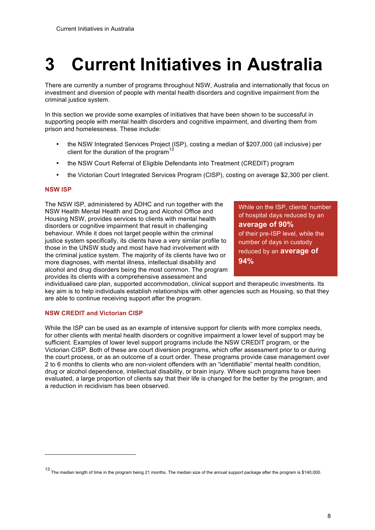# **3 Current Initiatives in Australia**

There are currently a number of programs throughout NSW, Australia and internationally that focus on investment and diversion of people with mental health disorders and cognitive impairment from the criminal justice system.

In this section we provide some examples of initiatives that have been shown to be successful in supporting people with mental health disorders and cognitive impairment, and diverting them from prison and homelessness. These include:

- the NSW Integrated Services Project (ISP), costing a median of \$207,000 (all inclusive) per client for the duration of the program<sup>13</sup>
- the NSW Court Referral of Eligible Defendants into Treatment (CREDIT) program
- the Victorian Court Integrated Services Program (CISP), costing on average \$2,300 per client.

## **NSW ISP**

 $\overline{a}$ 

The NSW ISP, administered by ADHC and run together with the NSW Health Mental Health and Drug and Alcohol Office and Housing NSW, provides services to clients with mental health disorders or cognitive impairment that result in challenging behaviour. While it does not target people within the criminal justice system specifically, its clients have a very similar profile to those in the UNSW study and most have had involvement with the criminal justice system. The majority of its clients have two or more diagnoses, with mental illness, intellectual disability and alcohol and drug disorders being the most common. The program provides its clients with a comprehensive assessment and

While on the ISP, clients' number of hospital days reduced by an **average of 90%** of their pre-ISP level, while the number of days in custody reduced by an **average of 94%**

individualised care plan, supported accommodation, clinical support and therapeutic investments. Its key aim is to help individuals establish relationships with other agencies such as Housing, so that they are able to continue receiving support after the program.

### **NSW CREDIT and Victorian CISP**

While the ISP can be used as an example of intensive support for clients with more complex needs, for other clients with mental health disorders or cognitive impairment a lower level of support may be sufficient. Examples of lower level support programs include the NSW CREDIT program, or the Victorian CISP. Both of these are court diversion programs, which offer assessment prior to or during the court process, or as an outcome of a court order. These programs provide case management over 2 to 6 months to clients who are non-violent offenders with an "identifiable" mental health condition, drug or alcohol dependence, intellectual disability, or brain injury. Where such programs have been evaluated, a large proportion of clients say that their life is changed for the better by the program, and a reduction in recidivism has been observed.

<sup>13</sup> The median length of time in the program being 21 months. The median size of the annual support package after the program is \$140,000.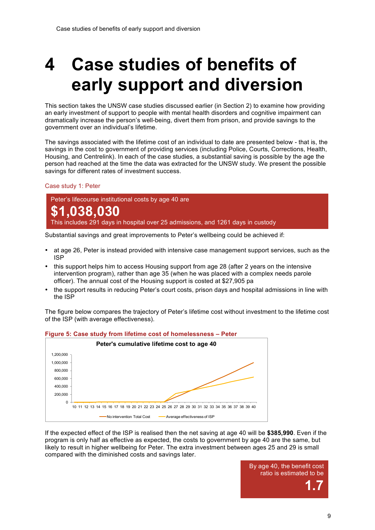## **4 Case studies of benefits of early support and diversion**

This section takes the UNSW case studies discussed earlier (in Section 2) to examine how providing an early investment of support to people with mental health disorders and cognitive impairment can dramatically increase the person's well-being, divert them from prison, and provide savings to the government over an individual's lifetime.

The savings associated with the lifetime cost of an individual to date are presented below - that is, the savings in the cost to government of providing services (including Police, Courts, Corrections, Health, Housing, and Centrelink). In each of the case studies, a substantial saving is possible by the age the person had reached at the time the data was extracted for the UNSW study. We present the possible savings for different rates of investment success.

### Case study 1: Peter

Peter's lifecourse institutional costs by age 40 are **\$1,038,030** This includes 291 days in hospital over 25 admissions, and 1261 days in custody

Substantial savings and great improvements to Peter's wellbeing could be achieved if:

- at age 26, Peter is instead provided with intensive case management support services, such as the ISP
- this support helps him to access Housing support from age 28 (after 2 years on the intensive intervention program), rather than age 35 (when he was placed with a complex needs parole officer). The annual cost of the Housing support is costed at \$27,905 pa
- the support results in reducing Peter's court costs, prison days and hospital admissions in line with the ISP

The figure below compares the trajectory of Peter's lifetime cost without investment to the lifetime cost of the ISP (with average effectiveness).



### **Figure 5: Case study from lifetime cost of homelessness – Peter**

If the expected effect of the ISP is realised then the net saving at age 40 will be **\$385,990**. Even if the program is only half as effective as expected, the costs to government by age 40 are the same, but likely to result in higher wellbeing for Peter. The extra investment between ages 25 and 29 is small compared with the diminished costs and savings later.

> By age 40, the benefit cost ratio is estimated to be **1.7**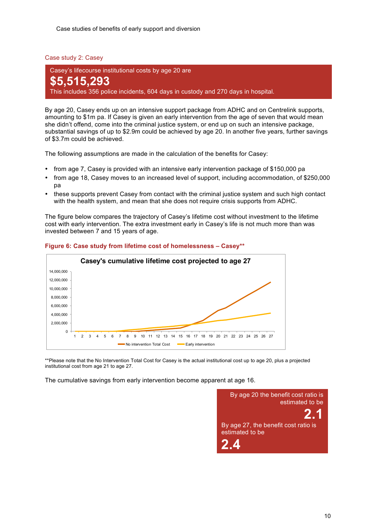Case studies of benefits of early support and diversion

Case study 2: Casey

Casey's lifecourse institutional costs by age 20 are **\$5,515,293** This includes 356 police incidents, 604 days in custody and 270 days in hospital.

By age 20, Casey ends up on an intensive support package from ADHC and on Centrelink supports, amounting to \$1m pa. If Casey is given an early intervention from the age of seven that would mean she didn't offend, come into the criminal justice system, or end up on such an intensive package, substantial savings of up to \$2.9m could be achieved by age 20. In another five years, further savings of \$3.7m could be achieved.

The following assumptions are made in the calculation of the benefits for Casey:

- from age 7, Casey is provided with an intensive early intervention package of \$150,000 pa
- from age 18, Casey moves to an increased level of support, including accommodation, of \$250,000 pa
- these supports prevent Casey from contact with the criminal justice system and such high contact with the health system, and mean that she does not require crisis supports from ADHC.

The figure below compares the trajectory of Casey's lifetime cost without investment to the lifetime cost with early intervention. The extra investment early in Casey's life is not much more than was invested between 7 and 15 years of age.



### **Figure 6: Case study from lifetime cost of homelessness – Casey\*\***

\*\*Please note that the No Intervention Total Cost for Casey is the actual institutional cost up to age 20, plus a projected institutional cost from age 21 to age 27.

The cumulative savings from early intervention become apparent at age 16.

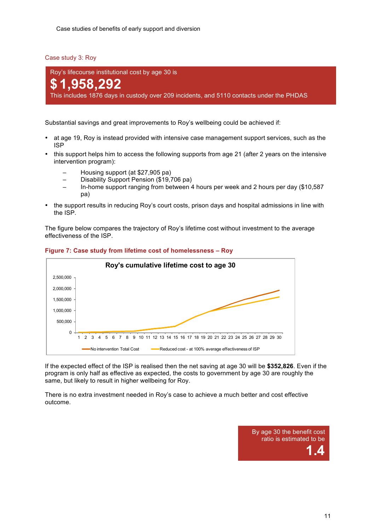Case study 3: Roy

Roy's lifecourse institutional cost by age 30 is

## **\$1,958,292**

This includes 1876 days in custody over 209 incidents, and 5110 contacts under the PHDAS

Substantial savings and great improvements to Roy's wellbeing could be achieved if:

- at age 19, Roy is instead provided with intensive case management support services, such as the ISP
- this support helps him to access the following supports from age 21 (after 2 years on the intensive intervention program):
	- Housing support (at \$27,905 pa)
	- Disability Support Pension (\$19,706 pa)
	- In-home support ranging from between 4 hours per week and 2 hours per day (\$10,587 pa)
- the support results in reducing Roy's court costs, prison days and hospital admissions in line with the ISP.

The figure below compares the trajectory of Roy's lifetime cost without investment to the average effectiveness of the ISP.



## **Figure 7: Case study from lifetime cost of homelessness – Roy**

If the expected effect of the ISP is realised then the net saving at age 30 will be **\$352,826**. Even if the program is only half as effective as expected, the costs to government by age 30 are roughly the same, but likely to result in higher wellbeing for Roy.

There is no extra investment needed in Roy's case to achieve a much better and cost effective outcome.